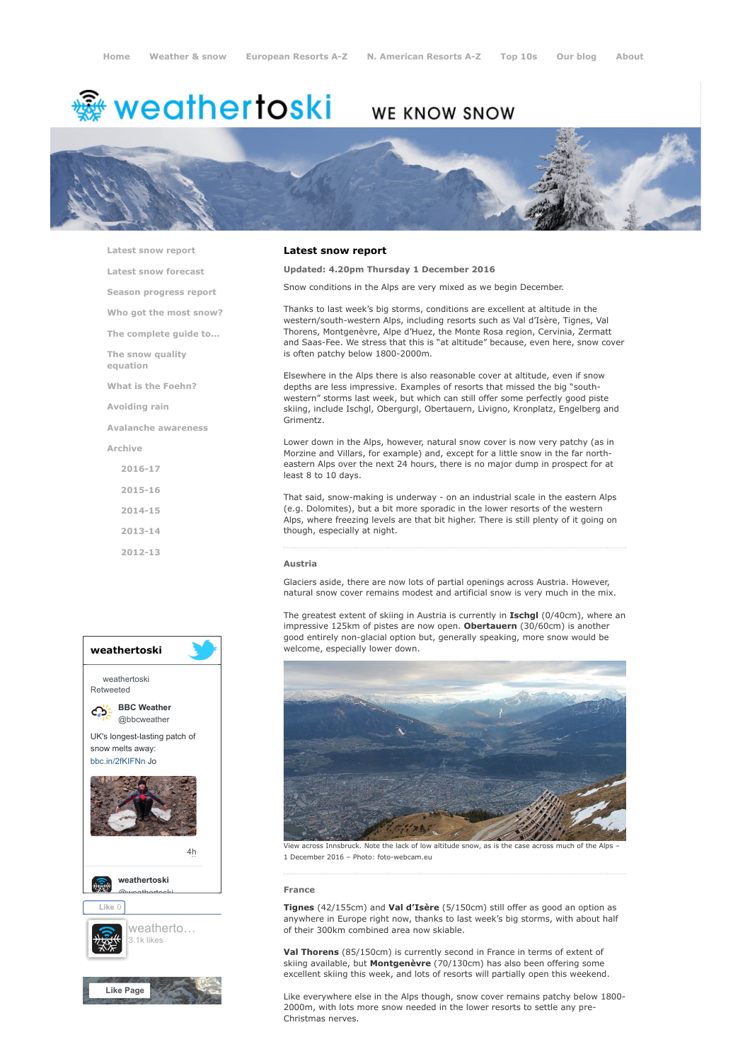# <del>鑾</del> weathertoski

# WE KNOW SNOW



[Latest snow report](https://www.weathertoski.co.uk/weather-snow/latest-snow-report/)

[Latest snow forecast](https://www.weathertoski.co.uk/weather-snow/latest-snow-forecast/) [Season progress report](https://www.weathertoski.co.uk/weather-snow/season-progress-report/) [Who got the most snow?](https://www.weathertoski.co.uk/weather-snow/who-got-the-most-snow/) [The complete guide to...](https://www.weathertoski.co.uk/weather-snow/the-complete-guide-to/) [The snow quality](https://www.weathertoski.co.uk/weather-snow/the-snow-quality-equation/) equation [What is the Foehn?](https://www.weathertoski.co.uk/weather-snow/what-is-the-foehn/) [Avoiding rain](https://www.weathertoski.co.uk/weather-snow/avoiding-rain/) [Avalanche awareness](https://www.weathertoski.co.uk/weather-snow/avalanche-awareness/) [Archive](https://www.weathertoski.co.uk/weather-snow/archive/) [2016-17](https://www.weathertoski.co.uk/weather-snow/archive/2016-17/) [2015-16](https://www.weathertoski.co.uk/weather-snow/archive/2015-16/) [2014-15](https://www.weathertoski.co.uk/weather-snow/archive/2014-15/)

[2013-14](https://www.weathertoski.co.uk/weather-snow/archive/2013-14/)

[2012-13](https://www.weathertoski.co.uk/weather-snow/archive/2012-13/)



### Latest snow report

Updated: 4.20pm Thursday 1 December 2016

Snow conditions in the Alps are very mixed as we begin December.

Thanks to last week's big storms, conditions are excellent at altitude in the western/south-western Alps, including resorts such as Val d'Isère, Tignes, Val Thorens, Montgenèvre, Alpe d'Huez, the Monte Rosa region, Cervinia, Zermatt and Saas-Fee. We stress that this is "at altitude" because, even here, snow cover is often patchy below 1800-2000m.

Elsewhere in the Alps there is also reasonable cover at altitude, even if snow depths are less impressive. Examples of resorts that missed the big "southwestern" storms last week, but which can still offer some perfectly good piste skiing, include Ischgl, Obergurgl, Obertauern, Livigno, Kronplatz, Engelberg and Grimentz.

Lower down in the Alps, however, natural snow cover is now very patchy (as in Morzine and Villars, for example) and, except for a little snow in the far northeastern Alps over the next 24 hours, there is no major dump in prospect for at least 8 to 10 days.

That said, snow-making is underway - on an industrial scale in the eastern Alps (e.g. Dolomites), but a bit more sporadic in the lower resorts of the western Alps, where freezing levels are that bit higher. There is still plenty of it going on though, especially at night.

#### Austria

Glaciers aside, there are now lots of partial openings across Austria. However, natural snow cover remains modest and artificial snow is very much in the mix.

The greatest extent of skiing in Austria is currently in **Ischgl** (0/40cm), where an impressive 125km of pistes are now open. Obertauern (30/60cm) is another good entirely non-glacial option but, generally speaking, more snow would be welcome, especially lower down.



View across Innsbruck. Note the lack of low altitude snow, as is the case across much of the Alps – 1 December 2016 – Photo: foto-webcam.eu

#### France

Tignes (42/155cm) and Val d'Isère (5/150cm) still offer as good an option as anywhere in Europe right now, thanks to last week's big storms, with about half of their 300km combined area now skiable.

Val Thorens (85/150cm) is currently second in France in terms of extent of skiing available, but Montgenèvre (70/130cm) has also been offering some excellent skiing this week, and lots of resorts will partially open this weekend.

Like everywhere else in the Alps though, snow cover remains patchy below 1800- 2000m, with lots more snow needed in the lower resorts to settle any pre-Christmas nerves.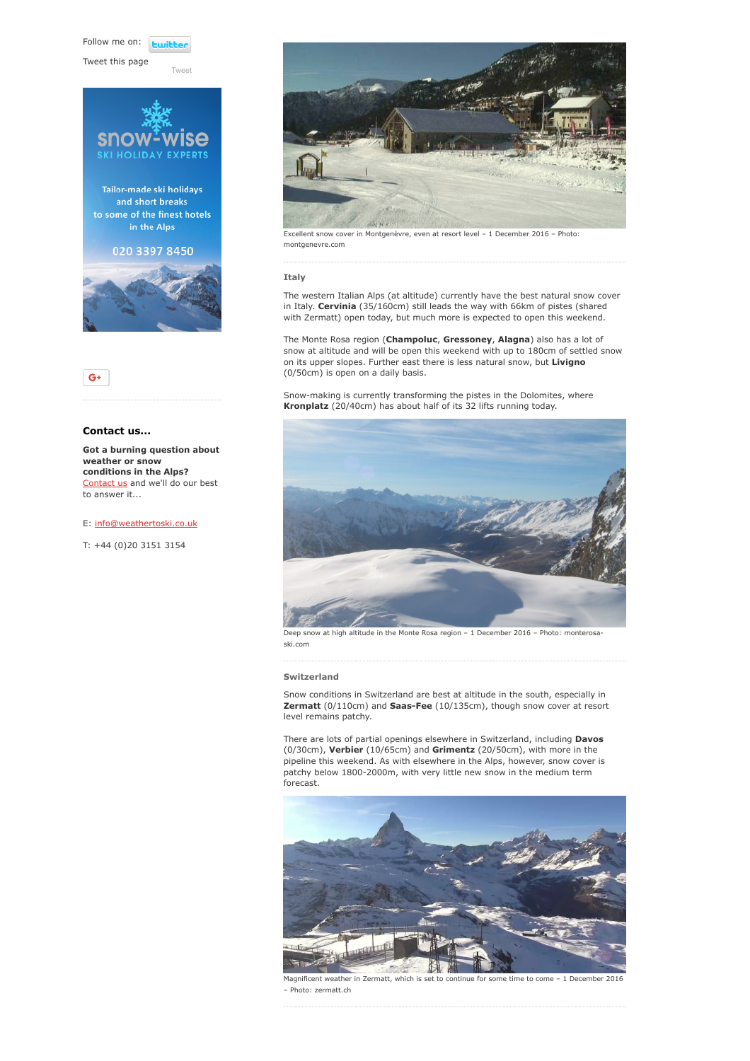Follow me on: *<u>twitte</u>* 

Tweet this page

[Tweet](https://twitter.com/intent/tweet?original_referer=https%3A%2F%2Fwww.weathertoski.co.uk%2Fweather-snow%2Farchive%2Fsnow-report-01-12-2016%2F&ref_src=twsrc%5Etfw&text=Weather%20to%20ski%20-%20Snow%20report%20-%201%20December%202016&tw_p=tweetbutton&url=https%3A%2F%2Fwww.weathertoski.co.uk%2Fweather-snow%2Farchive%2Fsnow-report-01-12-2016%2F)





## Contact us...

Got a burning question about weather or snow conditions in the Alps? [Contact us](https://www.weathertoski.co.uk/about-1/contact-us/) and we'll do our best to answer it...

E: [info@weathertoski.co.uk](mailto:fraser@weathertoski.co.uk)

T: +44 (0)20 3151 3154



Excellent snow cover in Montgenèvre, even at resort level – 1 December 2016 – Photo: montgenevre.com

#### Italy

The western Italian Alps (at altitude) currently have the best natural snow cover in Italy. Cervinia (35/160cm) still leads the way with 66km of pistes (shared with Zermatt) open today, but much more is expected to open this weekend.

The Monte Rosa region (Champoluc, Gressoney, Alagna) also has a lot of snow at altitude and will be open this weekend with up to 180cm of settled snow on its upper slopes. Further east there is less natural snow, but **Livigno** (0/50cm) is open on a daily basis.

Snow-making is currently transforming the pistes in the Dolomites, where Kronplatz (20/40cm) has about half of its 32 lifts running today.



Deep snow at high altitude in the Monte Rosa region – 1 December 2016 – Photo: monterosaski.com

#### Switzerland

Snow conditions in Switzerland are best at altitude in the south, especially in Zermatt (0/110cm) and Saas-Fee (10/135cm), though snow cover at resort level remains patchy.

There are lots of partial openings elsewhere in Switzerland, including **Davos** (0/30cm), Verbier (10/65cm) and Grimentz (20/50cm), with more in the pipeline this weekend. As with elsewhere in the Alps, however, snow cover is patchy below 1800-2000m, with very little new snow in the medium term forecast.



Magnificent weather in Zermatt, which is set to continue for some time to come – 1 December 2016 – Photo: zermatt.ch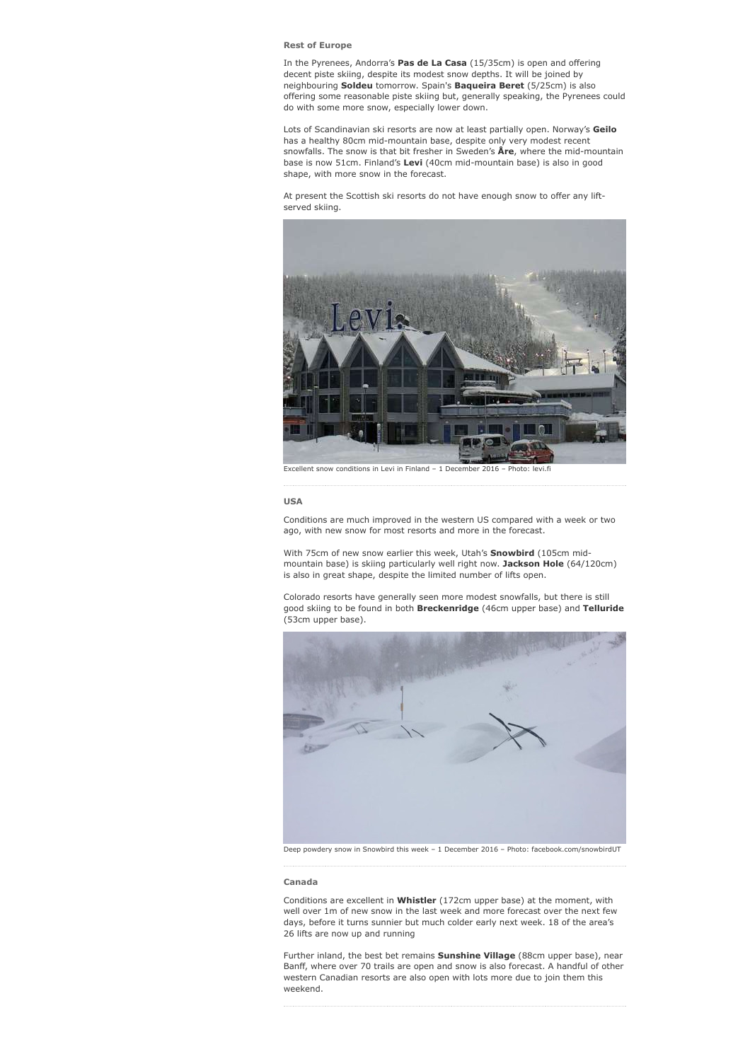#### Rest of Europe

In the Pyrenees, Andorra's Pas de La Casa (15/35cm) is open and offering decent piste skiing, despite its modest snow depths. It will be joined by neighbouring Soldeu tomorrow. Spain's Baqueira Beret (5/25cm) is also offering some reasonable piste skiing but, generally speaking, the Pyrenees could do with some more snow, especially lower down.

Lots of Scandinavian ski resorts are now at least partially open. Norway's Geilo has a healthy 80cm mid-mountain base, despite only very modest recent snowfalls. The snow is that bit fresher in Sweden's Åre, where the mid-mountain base is now 51cm. Finland's Levi (40cm mid-mountain base) is also in good shape, with more snow in the forecast.

At present the Scottish ski resorts do not have enough snow to offer any liftserved skiing.



Excellent snow conditions in Levi in Finland – 1 December 2016 – Photo: levi.fi

#### USA

Conditions are much improved in the western US compared with a week or two ago, with new snow for most resorts and more in the forecast.

With 75cm of new snow earlier this week, Utah's **Snowbird** (105cm midmountain base) is skiing particularly well right now. Jackson Hole (64/120cm) is also in great shape, despite the limited number of lifts open.

Colorado resorts have generally seen more modest snowfalls, but there is still good skiing to be found in both Breckenridge (46cm upper base) and Telluride (53cm upper base).



Deep powdery snow in Snowbird this week – 1 December 2016 – Photo: facebook.com/snowbirdUT

#### Canada

Conditions are excellent in Whistler (172cm upper base) at the moment, with well over 1m of new snow in the last week and more forecast over the next few days, before it turns sunnier but much colder early next week. 18 of the area's 26 lifts are now up and running

Further inland, the best bet remains **Sunshine Village** (88cm upper base), near Banff, where over 70 trails are open and snow is also forecast. A handful of other western Canadian resorts are also open with lots more due to join them this weekend.